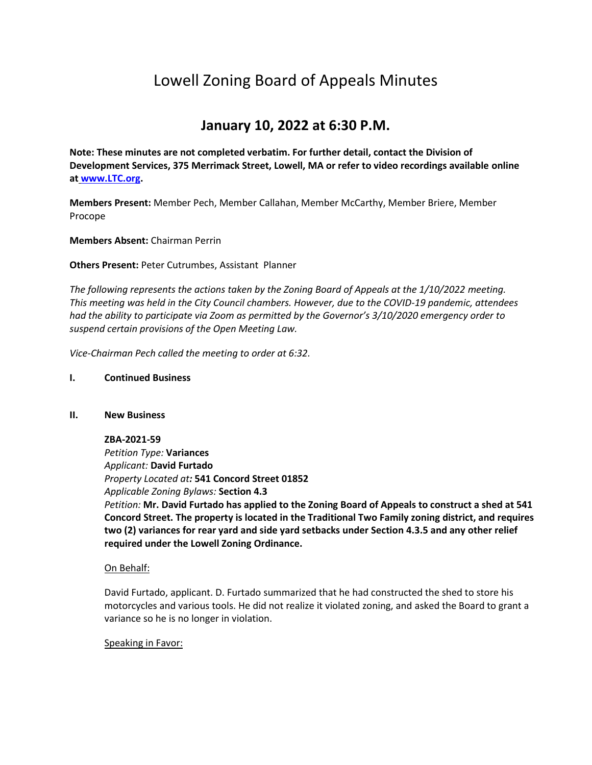# Lowell Zoning Board of Appeals Minutes

# **January 10, 2022 at 6:30 P.M.**

**Note: These minutes are not completed verbatim. For further detail, contact the Division of Development Services, 375 Merrimack Street, Lowell, MA or refer to video recordings available online at [www.LTC.org.](http://www.ltc.org/)**

**Members Present:** Member Pech, Member Callahan, Member McCarthy, Member Briere, Member Procope

**Members Absent:** Chairman Perrin

**Others Present:** Peter Cutrumbes, Assistant Planner

*The following represents the actions taken by the Zoning Board of Appeals at the 1/10/2022 meeting. This meeting was held in the City Council chambers. However, due to the COVID-19 pandemic, attendees had the ability to participate via Zoom as permitted by the Governor's 3/10/2020 emergency order to suspend certain provisions of the Open Meeting Law.*

*Vice-Chairman Pech called the meeting to order at 6:32.*

#### **I. Continued Business**

#### **II. New Business**

# **ZBA-2021-59**

*Petition Type:* **Variances** *Applicant:* **David Furtado** *Property Located at:* **541 Concord Street 01852** *Applicable Zoning Bylaws:* **Section 4.3** *Petition:* **Mr. David Furtado has applied to the Zoning Board of Appeals to construct a shed at 541 Concord Street. The property is located in the Traditional Two Family zoning district, and requires two (2) variances for rear yard and side yard setbacks under Section 4.3.5 and any other relief required under the Lowell Zoning Ordinance.**

# On Behalf:

David Furtado, applicant. D. Furtado summarized that he had constructed the shed to store his motorcycles and various tools. He did not realize it violated zoning, and asked the Board to grant a variance so he is no longer in violation.

#### Speaking in Favor: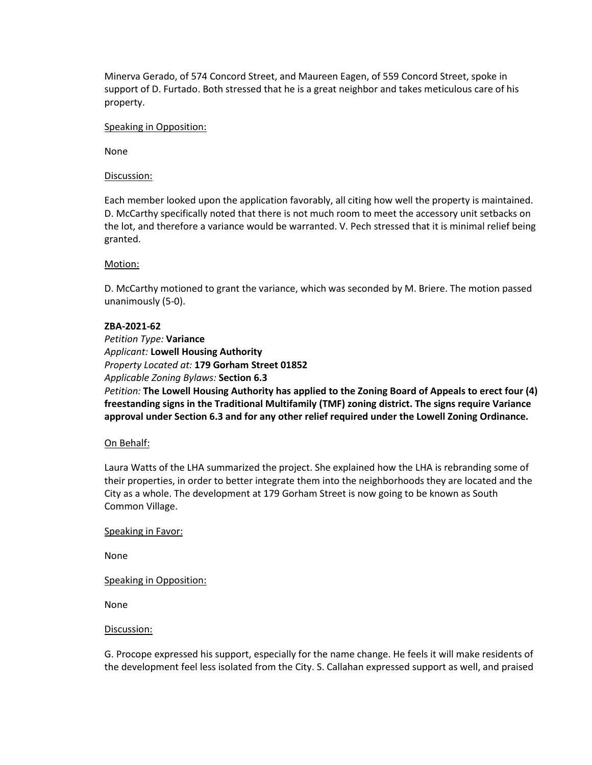Minerva Gerado, of 574 Concord Street, and Maureen Eagen, of 559 Concord Street, spoke in support of D. Furtado. Both stressed that he is a great neighbor and takes meticulous care of his property.

#### Speaking in Opposition:

None

#### Discussion:

Each member looked upon the application favorably, all citing how well the property is maintained. D. McCarthy specifically noted that there is not much room to meet the accessory unit setbacks on the lot, and therefore a variance would be warranted. V. Pech stressed that it is minimal relief being granted.

# Motion:

D. McCarthy motioned to grant the variance, which was seconded by M. Briere. The motion passed unanimously (5-0).

# **ZBA-2021-62**

*Petition Type:* **Variance** *Applicant:* **Lowell Housing Authority** *Property Located at:* **179 Gorham Street 01852** *Applicable Zoning Bylaws:* **Section 6.3**

*Petition:* **The Lowell Housing Authority has applied to the Zoning Board of Appeals to erect four (4) freestanding signs in the Traditional Multifamily (TMF) zoning district. The signs require Variance approval under Section 6.3 and for any other relief required under the Lowell Zoning Ordinance.**

#### On Behalf:

Laura Watts of the LHA summarized the project. She explained how the LHA is rebranding some of their properties, in order to better integrate them into the neighborhoods they are located and the City as a whole. The development at 179 Gorham Street is now going to be known as South Common Village.

#### Speaking in Favor:

None

Speaking in Opposition:

None

#### Discussion:

G. Procope expressed his support, especially for the name change. He feels it will make residents of the development feel less isolated from the City. S. Callahan expressed support as well, and praised